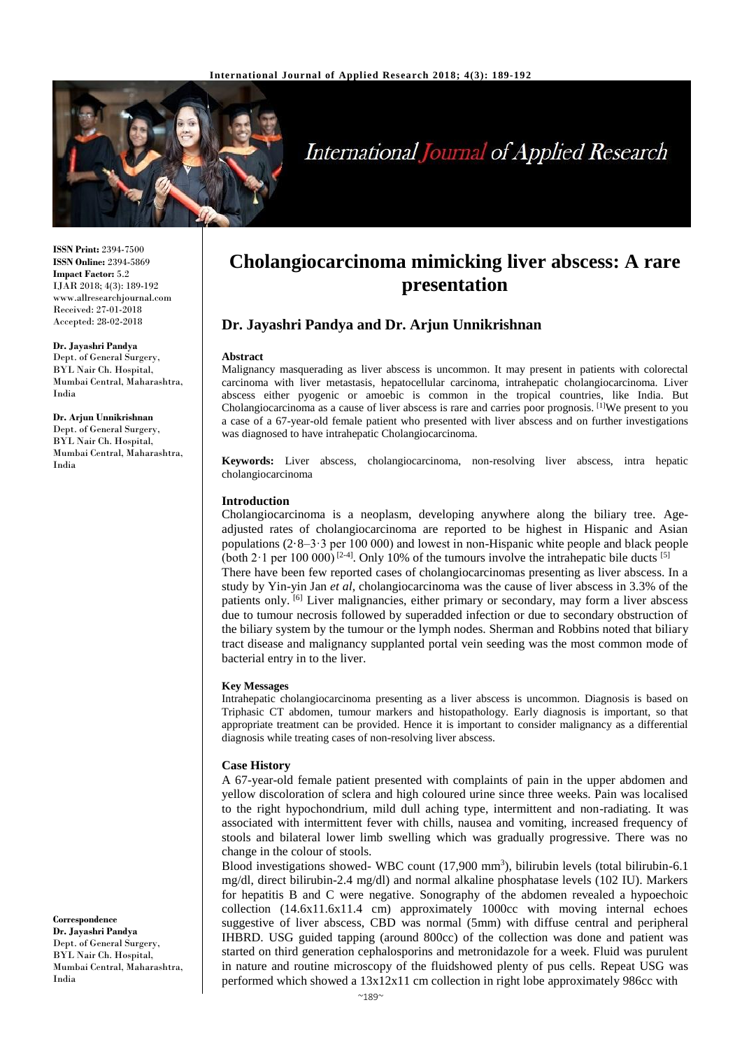

# **International Journal of Applied Research**

**ISSN Print:** 2394-7500 **ISSN Online:** 2394-5869 **Impact Factor:** 5.2 IJAR 2018; 4(3): 189-192 www.allresearchjournal.com Received: 27-01-2018 Accepted: 28-02-2018

**Dr. Jayashri Pandya**  Dept. of General Surgery, BYL Nair Ch. Hospital, Mumbai Central, Maharashtra, India

**Dr. Arjun Unnikrishnan**  Dept. of General Surgery, BYL Nair Ch. Hospital, Mumbai Central, Maharashtra, India

**Correspondence Dr. Jayashri Pandya**  Dept. of General Surgery, BYL Nair Ch. Hospital, Mumbai Central, Maharashtra, India

## **Cholangiocarcinoma mimicking liver abscess: A rare presentation**

## **Dr. Jayashri Pandya and Dr. Arjun Unnikrishnan**

#### **Abstract**

Malignancy masquerading as liver abscess is uncommon. It may present in patients with colorectal carcinoma with liver metastasis, hepatocellular carcinoma, intrahepatic cholangiocarcinoma. Liver abscess either pyogenic or amoebic is common in the tropical countries, like India. But Cholangiocarcinoma as a cause of liver abscess is rare and carries poor prognosis. [1]We present to you a case of a 67-year-old female patient who presented with liver abscess and on further investigations was diagnosed to have intrahepatic Cholangiocarcinoma.

**Keywords:** Liver abscess, cholangiocarcinoma, non-resolving liver abscess, intra hepatic cholangiocarcinoma

#### **Introduction**

Cholangiocarcinoma is a neoplasm, developing anywhere along the biliary tree. Ageadjusted rates of cholangiocarcinoma are reported to be highest in Hispanic and Asian populations (2·8–3·3 per 100 000) and lowest in non-Hispanic white people and black people (both  $2 \cdot 1$  per 100 $\overline{000)}$  [2-4]. Only 10% of the tumours involve the intrahepatic bile ducts [5] There have been few reported cases of cholangiocarcinomas presenting as liver abscess. In a study by Yin-yin Jan *et al*, cholangiocarcinoma was the cause of liver abscess in 3.3% of the patients only. [6] Liver malignancies, either primary or secondary, may form a liver abscess due to tumour necrosis followed by superadded infection or due to secondary obstruction of the biliary system by the tumour or the lymph nodes. Sherman and Robbins noted that biliary tract disease and malignancy supplanted portal vein seeding was the most common mode of bacterial entry in to the liver.

#### **Key Messages**

Intrahepatic cholangiocarcinoma presenting as a liver abscess is uncommon. Diagnosis is based on Triphasic CT abdomen, tumour markers and histopathology. Early diagnosis is important, so that appropriate treatment can be provided. Hence it is important to consider malignancy as a differential diagnosis while treating cases of non-resolving liver abscess.

#### **Case History**

A 67-year-old female patient presented with complaints of pain in the upper abdomen and yellow discoloration of sclera and high coloured urine since three weeks. Pain was localised to the right hypochondrium, mild dull aching type, intermittent and non-radiating. It was associated with intermittent fever with chills, nausea and vomiting, increased frequency of stools and bilateral lower limb swelling which was gradually progressive. There was no change in the colour of stools.

Blood investigations showed- WBC count (17,900 mm<sup>3</sup>), bilirubin levels (total bilirubin-6.1 mg/dl, direct bilirubin-2.4 mg/dl) and normal alkaline phosphatase levels (102 IU). Markers for hepatitis B and C were negative. Sonography of the abdomen revealed a hypoechoic collection  $(14.6x11.6x11.4 \text{ cm})$  approximately 1000cc with moving internal echoes suggestive of liver abscess, CBD was normal (5mm) with diffuse central and peripheral IHBRD. USG guided tapping (around 800cc) of the collection was done and patient was started on third generation cephalosporins and metronidazole for a week. Fluid was purulent in nature and routine microscopy of the fluidshowed plenty of pus cells. Repeat USG was performed which showed a 13x12x11 cm collection in right lobe approximately 986cc with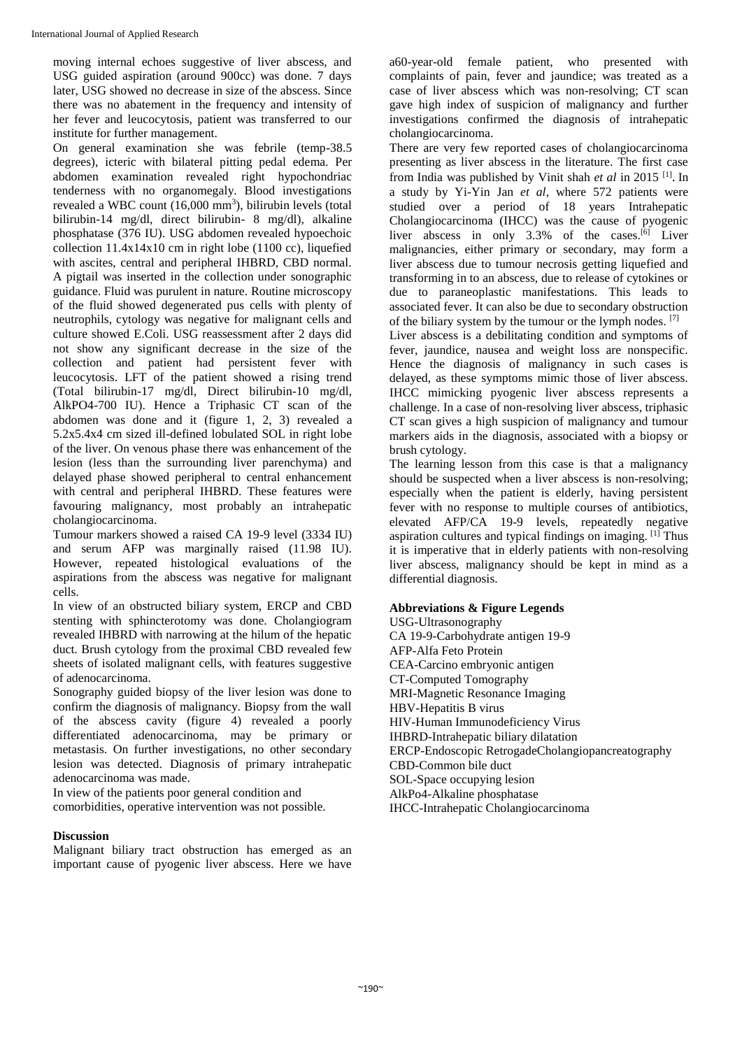moving internal echoes suggestive of liver abscess, and USG guided aspiration (around 900cc) was done. 7 days later, USG showed no decrease in size of the abscess. Since there was no abatement in the frequency and intensity of her fever and leucocytosis, patient was transferred to our institute for further management.

On general examination she was febrile (temp-38.5 degrees), icteric with bilateral pitting pedal edema. Per abdomen examination revealed right hypochondriac tenderness with no organomegaly. Blood investigations revealed a WBC count (16,000 mm<sup>3</sup>), bilirubin levels (total bilirubin-14 mg/dl, direct bilirubin- 8 mg/dl), alkaline phosphatase (376 IU). USG abdomen revealed hypoechoic collection  $11.4x14x10$  cm in right lobe (1100 cc), liquefied with ascites, central and peripheral IHBRD, CBD normal. A pigtail was inserted in the collection under sonographic guidance. Fluid was purulent in nature. Routine microscopy of the fluid showed degenerated pus cells with plenty of neutrophils, cytology was negative for malignant cells and culture showed E.Coli. USG reassessment after 2 days did not show any significant decrease in the size of the collection and patient had persistent fever with leucocytosis. LFT of the patient showed a rising trend (Total bilirubin-17 mg/dl, Direct bilirubin-10 mg/dl, AlkPO4-700 IU). Hence a Triphasic CT scan of the abdomen was done and it (figure 1, 2, 3) revealed a 5.2x5.4x4 cm sized ill-defined lobulated SOL in right lobe of the liver. On venous phase there was enhancement of the lesion (less than the surrounding liver parenchyma) and delayed phase showed peripheral to central enhancement with central and peripheral IHBRD. These features were favouring malignancy, most probably an intrahepatic cholangiocarcinoma.

Tumour markers showed a raised CA 19-9 level (3334 IU) and serum AFP was marginally raised (11.98 IU). However, repeated histological evaluations of the aspirations from the abscess was negative for malignant cells.

In view of an obstructed biliary system, ERCP and CBD stenting with sphincterotomy was done. Cholangiogram revealed IHBRD with narrowing at the hilum of the hepatic duct. Brush cytology from the proximal CBD revealed few sheets of isolated malignant cells, with features suggestive of adenocarcinoma.

Sonography guided biopsy of the liver lesion was done to confirm the diagnosis of malignancy. Biopsy from the wall of the abscess cavity (figure 4) revealed a poorly differentiated adenocarcinoma, may be primary or metastasis. On further investigations, no other secondary lesion was detected. Diagnosis of primary intrahepatic adenocarcinoma was made.

In view of the patients poor general condition and

comorbidities, operative intervention was not possible.

## **Discussion**

Malignant biliary tract obstruction has emerged as an important cause of pyogenic liver abscess. Here we have a60-year-old female patient, who presented with complaints of pain, fever and jaundice; was treated as a case of liver abscess which was non-resolving; CT scan gave high index of suspicion of malignancy and further investigations confirmed the diagnosis of intrahepatic cholangiocarcinoma.

There are very few reported cases of cholangiocarcinoma presenting as liver abscess in the literature. The first case from India was published by Vinit shah *et al* in 2015 [1] . In a study by Yi-Yin Jan *et al*, where 572 patients were studied over a period of 18 years Intrahepatic Cholangiocarcinoma (IHCC) was the cause of pyogenic liver abscess in only 3.3% of the cases.<sup>[6]</sup> Liver malignancies, either primary or secondary, may form a liver abscess due to tumour necrosis getting liquefied and transforming in to an abscess, due to release of cytokines or due to paraneoplastic manifestations. This leads to associated fever. It can also be due to secondary obstruction of the biliary system by the tumour or the lymph nodes. [7]

Liver abscess is a debilitating condition and symptoms of fever, jaundice, nausea and weight loss are nonspecific. Hence the diagnosis of malignancy in such cases is delayed, as these symptoms mimic those of liver abscess. IHCC mimicking pyogenic liver abscess represents a challenge. In a case of non-resolving liver abscess, triphasic CT scan gives a high suspicion of malignancy and tumour markers aids in the diagnosis, associated with a biopsy or brush cytology.

The learning lesson from this case is that a malignancy should be suspected when a liver abscess is non-resolving; especially when the patient is elderly, having persistent fever with no response to multiple courses of antibiotics, elevated AFP/CA 19-9 levels, repeatedly negative aspiration cultures and typical findings on imaging. [1] Thus it is imperative that in elderly patients with non-resolving liver abscess, malignancy should be kept in mind as a differential diagnosis.

## **Abbreviations & Figure Legends**

USG-Ultrasonography CA 19-9-Carbohydrate antigen 19-9 AFP-Alfa Feto Protein CEA-Carcino embryonic antigen CT-Computed Tomography MRI-Magnetic Resonance Imaging HBV-Hepatitis B virus HIV-Human Immunodeficiency Virus IHBRD-Intrahepatic biliary dilatation ERCP-Endoscopic RetrogadeCholangiopancreatography CBD-Common bile duct SOL-Space occupying lesion AlkPo4-Alkaline phosphatase IHCC-Intrahepatic Cholangiocarcinoma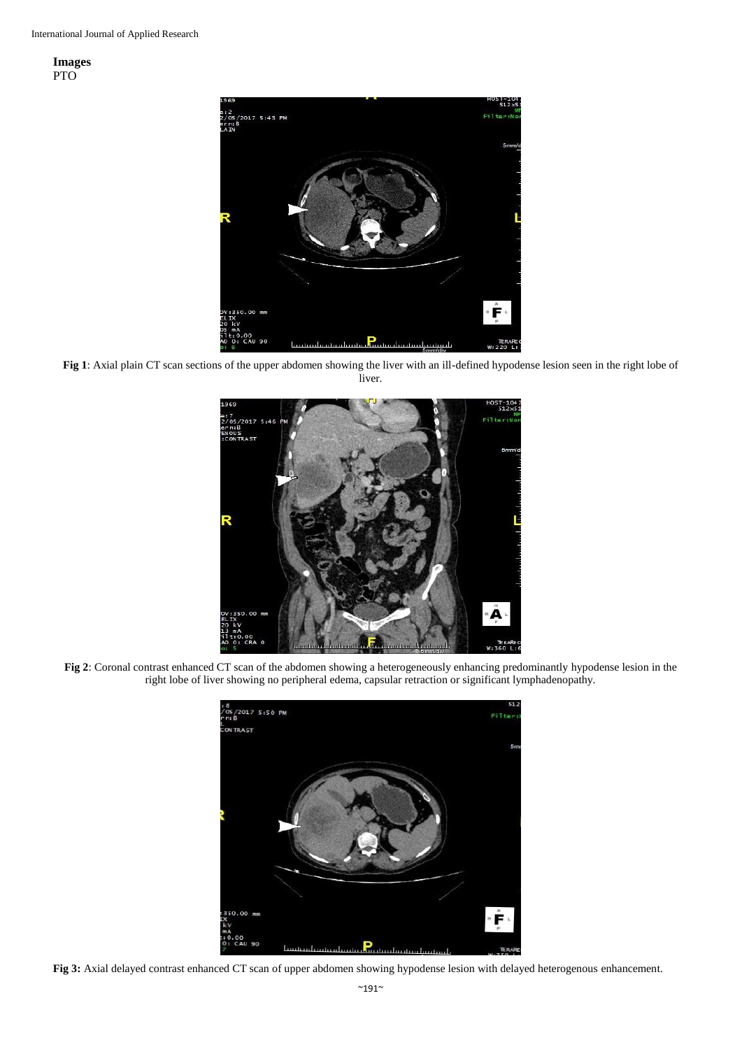**Images** PTO



**Fig 1**: Axial plain CT scan sections of the upper abdomen showing the liver with an ill-defined hypodense lesion seen in the right lobe of liver.



**Fig 2**: Coronal contrast enhanced CT scan of the abdomen showing a heterogeneously enhancing predominantly hypodense lesion in the right lobe of liver showing no peripheral edema, capsular retraction or significant lymphadenopathy.



**Fig 3:** Axial delayed contrast enhanced CT scan of upper abdomen showing hypodense lesion with delayed heterogenous enhancement.